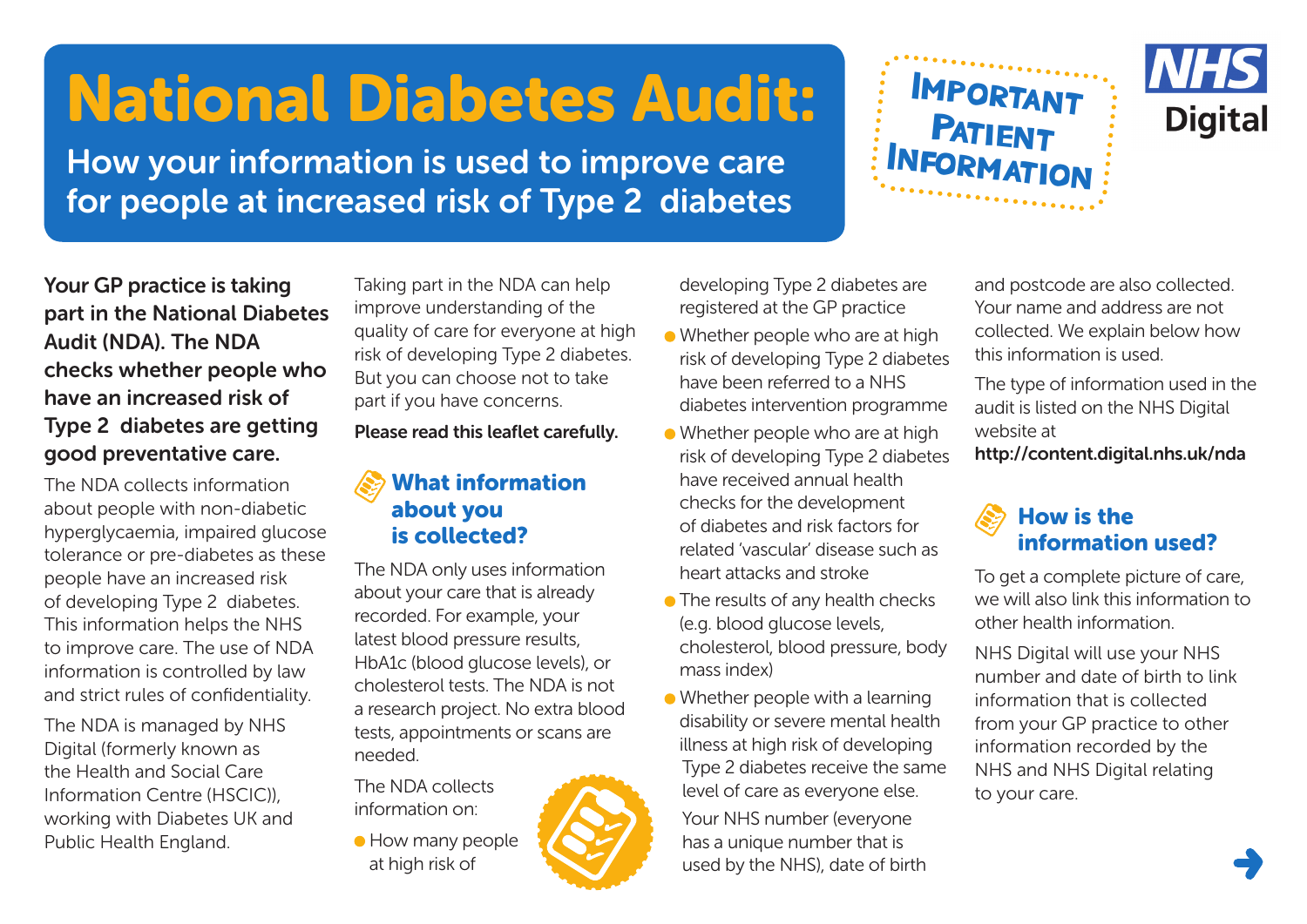## National Diabetes Audit:

How your information is used to improve care for people at increased risk of Type 2 diabetes





Your GP practice is taking part in the National Diabetes Audit (NDA). The NDA checks whether people who have an increased risk of Type 2 diabetes are getting good preventative care.

The NDA collects information about people with non-diabetic hyperglycaemia, impaired glucose tolerance or pre-diabetes as these people have an increased risk of developing Type 2 diabetes. This information helps the NHS to improve care. The use of NDA information is controlled by law and strict rules of confidentiality.

The NDA is managed by NHS Digital (formerly known as the Health and Social Care Information Centre (HSCIC)), working with Diabetes UK and Public Health England.

Taking part in the NDA can help improve understanding of the quality of care for everyone at high risk of developing Type 2 diabetes. But you can choose not to take part if you have concerns.

Please read this leaflet carefully.

## What information about you is collected?

The NDA only uses information about your care that is already recorded. For example, your latest blood pressure results, HbA1c (blood glucose levels), or cholesterol tests. The NDA is not a research project. No extra blood tests, appointments or scans are needed.

The NDA collects information on:

**• How many people** at high risk of

developing Type 2 diabetes are registered at the GP practice

- Whether people who are at high risk of developing Type 2 diabetes have been referred to a NHS diabetes intervention programme
- Whether people who are at high risk of developing Type 2 diabetes have received annual health checks for the development of diabetes and risk factors for related 'vascular' disease such as heart attacks and stroke
- The results of any health checks (e.g. blood glucose levels, cholesterol, blood pressure, body mass index)
- Whether people with a learning disability or severe mental health illness at high risk of developing Type 2 diabetes receive the same level of care as everyone else. Your NHS number (everyone

has a unique number that is used by the NHS), date of birth

and postcode are also collected. Your name and address are not collected. We explain below how this information is used.

The type of information used in the audit is listed on the NHS Digital website at

http://content.digital.nhs.uk/nda

## How is the information used?

To get a complete picture of care, we will also link this information to other health information.

NHS Digital will use your NHS number and date of birth to link information that is collected from your GP practice to other information recorded by the NHS and NHS Digital relating to your care.